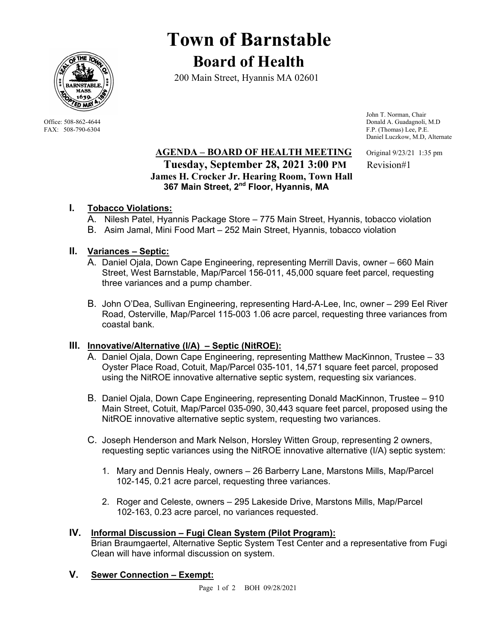

# **Town of Barnstable Board of Health**

200 Main Street, Hyannis MA 02601

 John T. Norman, Chair Office: 508-862-4644 Donald A. Guadagnoli, M.D<br>
FAX: 508-790-6304 FAX: 508-790-6304 F.P. (Thomas) Lee, P.E. F.P. (Thomas) Lee, P.E. Daniel Luczkow, M.D, Alternate

## **AGENDA – BOARD OF HEALTH MEETING** Original 9/23/21 1:35 pm **Tuesday, September 28, 2021 3:00 PM** Revision#1  **James H. Crocker Jr. Hearing Room, Town Hall 367 Main Street, 2nd Floor, Hyannis, MA**

## **I. Tobacco Violations:**

- A. Nilesh Patel, Hyannis Package Store 775 Main Street, Hyannis, tobacco violation
- B. Asim Jamal, Mini Food Mart 252 Main Street, Hyannis, tobacco violation

## **II. Variances – Septic:**

- A. Daniel Ojala, Down Cape Engineering, representing Merrill Davis, owner 660 Main Street, West Barnstable, Map/Parcel 156-011, 45,000 square feet parcel, requesting three variances and a pump chamber.
- B. John O'Dea, Sullivan Engineering, representing Hard-A-Lee, Inc, owner 299 Eel River Road, Osterville, Map/Parcel 115-003 1.06 acre parcel, requesting three variances from coastal bank.

#### **III. Innovative/Alternative (I/A) – Septic (NitROE):**

- A. Daniel Ojala, Down Cape Engineering, representing Matthew MacKinnon, Trustee 33 Oyster Place Road, Cotuit, Map/Parcel 035-101, 14,571 square feet parcel, proposed using the NitROE innovative alternative septic system, requesting six variances.
- B. Daniel Ojala, Down Cape Engineering, representing Donald MacKinnon, Trustee 910 Main Street, Cotuit, Map/Parcel 035-090, 30,443 square feet parcel, proposed using the NitROE innovative alternative septic system, requesting two variances.
- C. Joseph Henderson and Mark Nelson, Horsley Witten Group, representing 2 owners, requesting septic variances using the NitROE innovative alternative (I/A) septic system:
	- 1. Mary and Dennis Healy, owners 26 Barberry Lane, Marstons Mills, Map/Parcel 102-145, 0.21 acre parcel, requesting three variances.
	- 2. Roger and Celeste, owners 295 Lakeside Drive, Marstons Mills, Map/Parcel 102-163, 0.23 acre parcel, no variances requested.

#### **IV. Informal Discussion – Fugi Clean System (Pilot Program):**

Brian Braumgaertel, Alternative Septic System Test Center and a representative from Fugi Clean will have informal discussion on system.

#### **V. Sewer Connection – Exempt:**